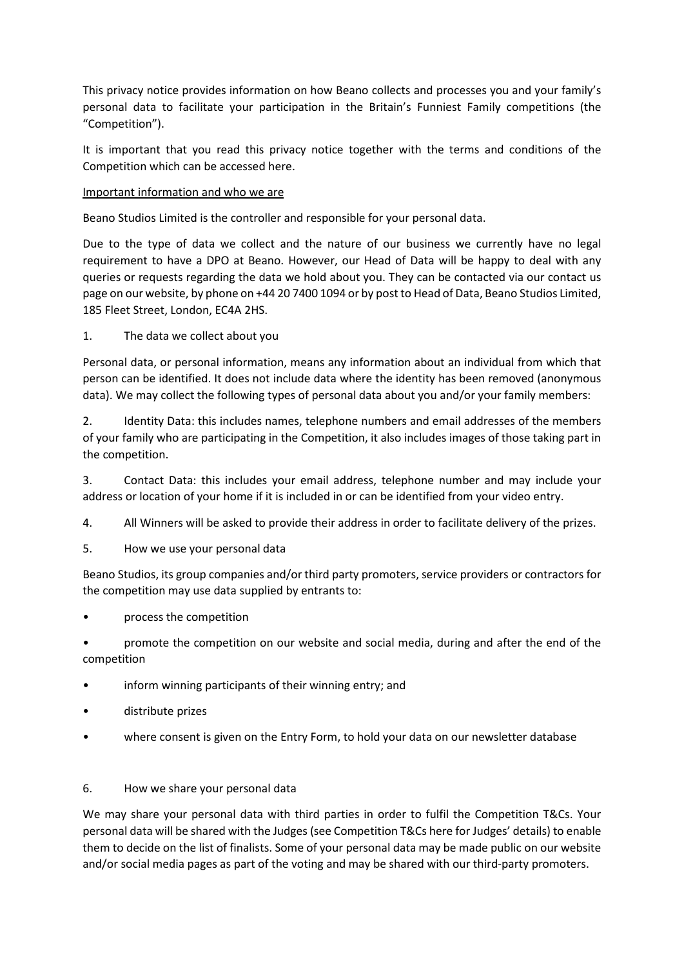This privacy notice provides information on how Beano collects and processes you and your family's personal data to facilitate your participation in the Britain's Funniest Family competitions (the "Competition").

It is important that you read this privacy notice together with the terms and conditions of the Competition which can be accessed here.

## Important information and who we are

Beano Studios Limited is the controller and responsible for your personal data.

Due to the type of data we collect and the nature of our business we currently have no legal requirement to have a DPO at Beano. However, our Head of Data will be happy to deal with any queries or requests regarding the data we hold about you. They can be contacted via our contact us page on our website, by phone on +44 20 7400 1094 or by post to Head of Data, Beano Studios Limited, 185 Fleet Street, London, EC4A 2HS.

1. The data we collect about you

Personal data, or personal information, means any information about an individual from which that person can be identified. It does not include data where the identity has been removed (anonymous data). We may collect the following types of personal data about you and/or your family members:

2. Identity Data: this includes names, telephone numbers and email addresses of the members of your family who are participating in the Competition, it also includes images of those taking part in the competition.

3. Contact Data: this includes your email address, telephone number and may include your address or location of your home if it is included in or can be identified from your video entry.

4. All Winners will be asked to provide their address in order to facilitate delivery of the prizes.

5. How we use your personal data

Beano Studios, its group companies and/or third party promoters, service providers or contractors for the competition may use data supplied by entrants to:

• process the competition

• promote the competition on our website and social media, during and after the end of the competition

- inform winning participants of their winning entry; and
- distribute prizes
- where consent is given on the Entry Form, to hold your data on our newsletter database

## 6. How we share your personal data

We may share your personal data with third parties in order to fulfil the Competition T&Cs. Your personal data will be shared with the Judges (see Competition T&Cs here for Judges' details) to enable them to decide on the list of finalists. Some of your personal data may be made public on our website and/or social media pages as part of the voting and may be shared with our third-party promoters.